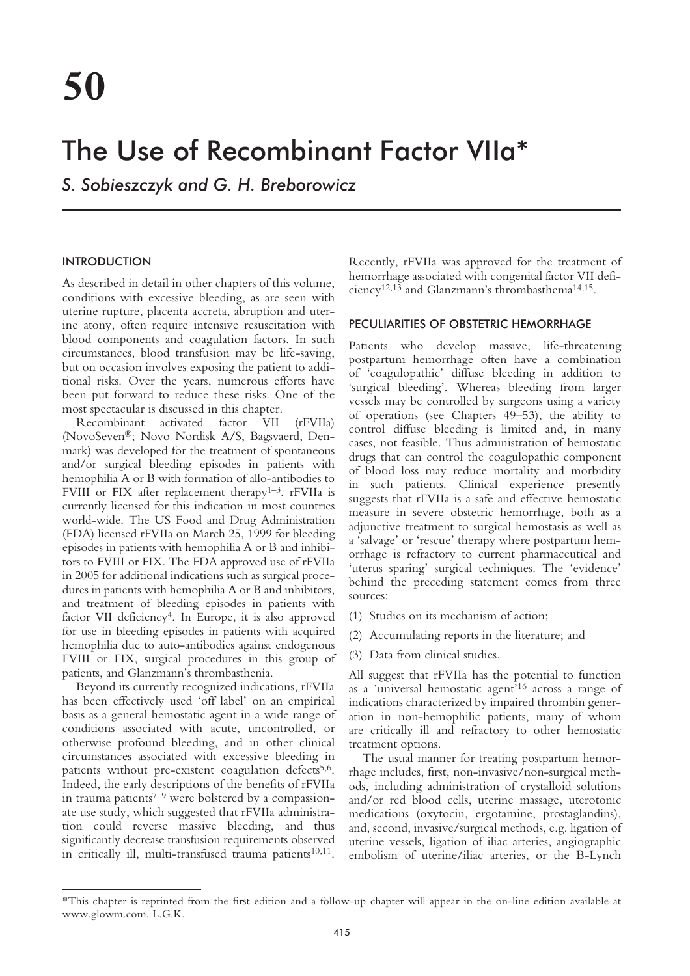# The Use of Recombinant Factor VIIa\*

*S. Sobieszczyk and G. H. Breborowicz*

# INTRODUCTION

As described in detail in other chapters of this volume, conditions with excessive bleeding, as are seen with uterine rupture, placenta accreta, abruption and uterine atony, often require intensive resuscitation with blood components and coagulation factors. In such circumstances, blood transfusion may be life-saving, but on occasion involves exposing the patient to additional risks. Over the years, numerous efforts have been put forward to reduce these risks. One of the most spectacular is discussed in this chapter.

Recombinant activated factor VII (rFVIIa) (NovoSeven®; Novo Nordisk A/S, Bagsvaerd, Denmark) was developed for the treatment of spontaneous and/or surgical bleeding episodes in patients with hemophilia A or B with formation of allo-antibodies to FVIII or FIX after replacement therapy<sup>1-3</sup>. rFVIIa is currently licensed for this indication in most countries world-wide. The US Food and Drug Administration (FDA) licensed rFVIIa on March 25, 1999 for bleeding episodes in patients with hemophilia A or B and inhibitors to FVIII or FIX. The FDA approved use of rFVIIa in 2005 for additional indications such as surgical procedures in patients with hemophilia A or B and inhibitors, and treatment of bleeding episodes in patients with factor VII deficiency<sup>4</sup>. In Europe, it is also approved for use in bleeding episodes in patients with acquired hemophilia due to auto-antibodies against endogenous FVIII or FIX, surgical procedures in this group of patients, and Glanzmann's thrombasthenia.

Beyond its currently recognized indications, rFVIIa has been effectively used 'off label' on an empirical basis as a general hemostatic agent in a wide range of conditions associated with acute, uncontrolled, or otherwise profound bleeding, and in other clinical circumstances associated with excessive bleeding in patients without pre-existent coagulation defects<sup>5,6</sup>. Indeed, the early descriptions of the benefits of rFVIIa in trauma patients<sup> $7-9$ </sup> were bolstered by a compassionate use study, which suggested that rFVIIa administration could reverse massive bleeding, and thus significantly decrease transfusion requirements observed in critically ill, multi-transfused trauma patients $10,11$ .

Recently, rFVIIa was approved for the treatment of hemorrhage associated with congenital factor VII deficiency12,13 and Glanzmann's thrombasthenia14,15.

#### PECULIARITIES OF OBSTETRIC HEMORRHAGE

Patients who develop massive, life-threatening postpartum hemorrhage often have a combination of 'coagulopathic' diffuse bleeding in addition to 'surgical bleeding'. Whereas bleeding from larger vessels may be controlled by surgeons using a variety of operations (see Chapters 49–53), the ability to control diffuse bleeding is limited and, in many cases, not feasible. Thus administration of hemostatic drugs that can control the coagulopathic component of blood loss may reduce mortality and morbidity in such patients. Clinical experience presently suggests that rFVIIa is a safe and effective hemostatic measure in severe obstetric hemorrhage, both as a adjunctive treatment to surgical hemostasis as well as a 'salvage' or 'rescue' therapy where postpartum hemorrhage is refractory to current pharmaceutical and 'uterus sparing' surgical techniques. The 'evidence' behind the preceding statement comes from three sources:

- (1) Studies on its mechanism of action;
- (2) Accumulating reports in the literature; and
- (3) Data from clinical studies.

All suggest that rFVIIa has the potential to function as a 'universal hemostatic agent'16 across a range of indications characterized by impaired thrombin generation in non-hemophilic patients, many of whom are critically ill and refractory to other hemostatic treatment options.

The usual manner for treating postpartum hemorrhage includes, first, non-invasive/non-surgical methods, including administration of crystalloid solutions and/or red blood cells, uterine massage, uterotonic medications (oxytocin, ergotamine, prostaglandins), and, second, invasive/surgical methods, e.g. ligation of uterine vessels, ligation of iliac arteries, angiographic embolism of uterine/iliac arteries, or the B-Lynch

<sup>\*</sup>This chapter is reprinted from the first edition and a follow-up chapter will appear in the on-line edition available at www.glowm.com. L.G.K.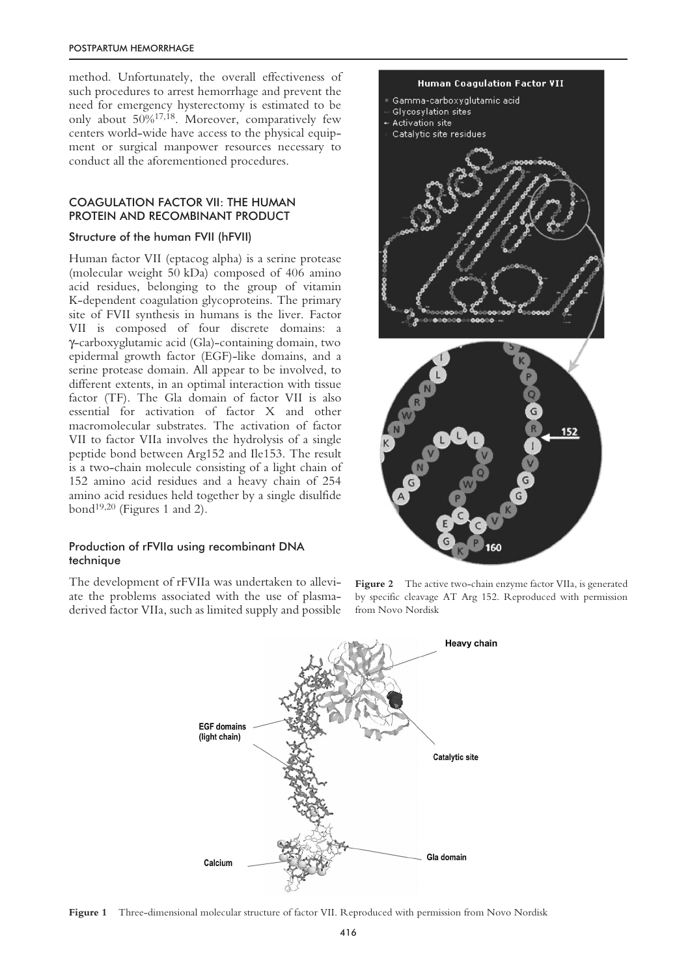#### POSTPARTUM HEMORRHAGE

method. Unfortunately, the overall effectiveness of such procedures to arrest hemorrhage and prevent the need for emergency hysterectomy is estimated to be only about 50%17,18. Moreover, comparatively few centers world-wide have access to the physical equipment or surgical manpower resources necessary to conduct all the aforementioned procedures.

# COAGULATION FACTOR VII: THE HUMAN PROTEIN AND RECOMBINANT PRODUCT

# Structure of the human FVII (hFVII)

Human factor VII (eptacog alpha) is a serine protease (molecular weight 50 kDa) composed of 406 amino acid residues, belonging to the group of vitamin K-dependent coagulation glycoproteins. The primary site of FVII synthesis in humans is the liver. Factor VII is composed of four discrete domains: a γ-carboxyglutamic acid (Gla)-containing domain, two epidermal growth factor (EGF)-like domains, and a serine protease domain. All appear to be involved, to different extents, in an optimal interaction with tissue factor (TF). The Gla domain of factor VII is also essential for activation of factor X and other macromolecular substrates. The activation of factor VII to factor VIIa involves the hydrolysis of a single peptide bond between Arg152 and Ile153. The result is a two-chain molecule consisting of a light chain of 152 amino acid residues and a heavy chain of 254 amino acid residues held together by a single disulfide bond<sup>19,20</sup> (Figures 1 and 2).

# Production of rFVIIa using recombinant DNA technique

The development of rFVIIa was undertaken to alleviate the problems associated with the use of plasmaderived factor VIIa, such as limited supply and possible



**Figure 2** The active two-chain enzyme factor VIIa, is generated by specific cleavage AT Arg 152. Reproduced with permission from Novo Nordisk



**Figure 1** Three-dimensional molecular structure of factor VII. Reproduced with permission from Novo Nordisk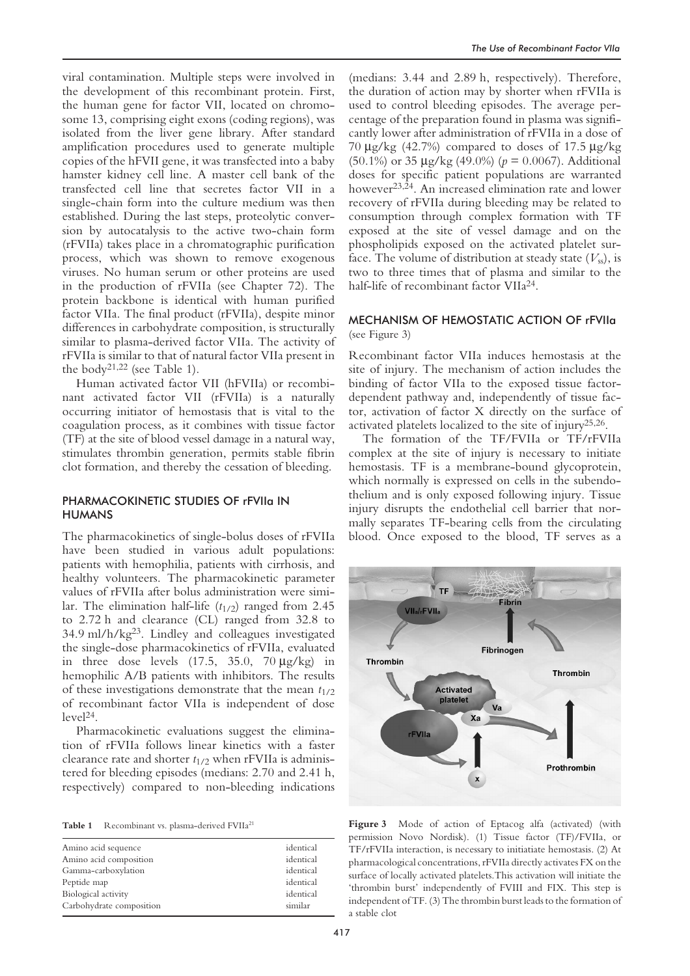viral contamination. Multiple steps were involved in the development of this recombinant protein. First, the human gene for factor VII, located on chromosome 13, comprising eight exons (coding regions), was isolated from the liver gene library. After standard amplification procedures used to generate multiple copies of the hFVII gene, it was transfected into a baby hamster kidney cell line. A master cell bank of the transfected cell line that secretes factor VII in a single-chain form into the culture medium was then established. During the last steps, proteolytic conversion by autocatalysis to the active two-chain form (rFVIIa) takes place in a chromatographic purification process, which was shown to remove exogenous viruses. No human serum or other proteins are used in the production of rFVIIa (see Chapter 72). The protein backbone is identical with human purified factor VIIa. The final product (rFVIIa), despite minor differences in carbohydrate composition, is structurally similar to plasma-derived factor VIIa. The activity of rFVIIa is similar to that of natural factor VIIa present in the body<sup>21,22</sup> (see Table 1).

Human activated factor VII (hFVIIa) or recombinant activated factor VII (rFVIIa) is a naturally occurring initiator of hemostasis that is vital to the coagulation process, as it combines with tissue factor (TF) at the site of blood vessel damage in a natural way, stimulates thrombin generation, permits stable fibrin clot formation, and thereby the cessation of bleeding.

# PHARMACOKINETIC STUDIES OF rFVIIa IN HUMANS

The pharmacokinetics of single-bolus doses of rFVIIa have been studied in various adult populations: patients with hemophilia, patients with cirrhosis, and healthy volunteers. The pharmacokinetic parameter values of rFVIIa after bolus administration were similar. The elimination half-life  $(t_{1/2})$  ranged from 2.45 to 2.72 h and clearance (CL) ranged from 32.8 to 34.9 ml/h/kg23. Lindley and colleagues investigated the single-dose pharmacokinetics of rFVIIa, evaluated in three dose levels  $(17.5, 35.0, 70 \mu g/kg)$  in hemophilic A/B patients with inhibitors. The results of these investigations demonstrate that the mean *t*1/2 of recombinant factor VIIa is independent of dose level24.

Pharmacokinetic evaluations suggest the elimination of rFVIIa follows linear kinetics with a faster clearance rate and shorter  $t_{1/2}$  when rFVIIa is administered for bleeding episodes (medians: 2.70 and 2.41 h, respectively) compared to non-bleeding indications

| Amino acid sequence      | identical |
|--------------------------|-----------|
| Amino acid composition   | identical |
| Gamma-carboxylation      | identical |
| Peptide map              | identical |
| Biological activity      | identical |
| Carbohydrate composition | similar   |
|                          |           |

(medians: 3.44 and 2.89 h, respectively). Therefore, the duration of action may by shorter when rFVIIa is used to control bleeding episodes. The average percentage of the preparation found in plasma was significantly lower after administration of rFVIIa in a dose of 70 µg/kg (42.7%) compared to doses of 17.5 µg/kg (50.1%) or 35 µg/kg (49.0%) (*p* = 0.0067). Additional doses for specific patient populations are warranted however23,24. An increased elimination rate and lower recovery of rFVIIa during bleeding may be related to consumption through complex formation with TF exposed at the site of vessel damage and on the phospholipids exposed on the activated platelet surface. The volume of distribution at steady state  $(V_{ss})$ , is two to three times that of plasma and similar to the half-life of recombinant factor VIIa24.

# MECHANISM OF HEMOSTATIC ACTION OF rFVIIa (see Figure 3)

Recombinant factor VIIa induces hemostasis at the site of injury. The mechanism of action includes the binding of factor VIIa to the exposed tissue factordependent pathway and, independently of tissue factor, activation of factor X directly on the surface of activated platelets localized to the site of injury25,26.

The formation of the TF/FVIIa or TF/rFVIIa complex at the site of injury is necessary to initiate hemostasis. TF is a membrane-bound glycoprotein, which normally is expressed on cells in the subendothelium and is only exposed following injury. Tissue injury disrupts the endothelial cell barrier that normally separates TF-bearing cells from the circulating blood. Once exposed to the blood, TF serves as a



**Table 1** Recombinant vs. plasma-derived FVIIa<sup>21</sup> **Figure 3** Mode of action of Eptacog alfa (activated) (with permission Novo Nordisk). (1) Tissue factor (TF)/FVIIa, or TF/rFVIIa interaction, is necessary to initiatiate hemostasis. (2) At pharmacological concentrations, rFVIIa directly activates FX on the surface of locally activated platelets.This activation will initiate the 'thrombin burst' independently of FVIII and FIX. This step is independent of TF. (3) The thrombin burst leads to the formation of a stable clot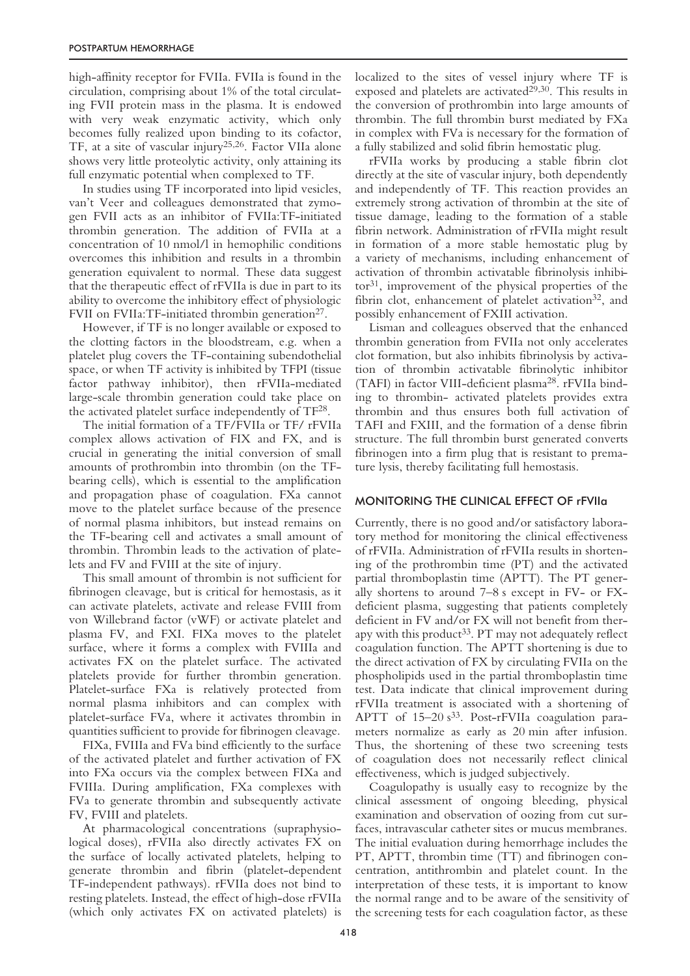high-affinity receptor for FVIIa. FVIIa is found in the circulation, comprising about 1% of the total circulating FVII protein mass in the plasma. It is endowed with very weak enzymatic activity, which only becomes fully realized upon binding to its cofactor, TF, at a site of vascular injury25,26. Factor VIIa alone shows very little proteolytic activity, only attaining its full enzymatic potential when complexed to TF.

In studies using TF incorporated into lipid vesicles, van't Veer and colleagues demonstrated that zymogen FVII acts as an inhibitor of FVIIa:TF-initiated thrombin generation. The addition of FVIIa at a concentration of 10 nmol/l in hemophilic conditions overcomes this inhibition and results in a thrombin generation equivalent to normal. These data suggest that the therapeutic effect of rFVIIa is due in part to its ability to overcome the inhibitory effect of physiologic FVII on FVIIa: TF-initiated thrombin generation $27$ .

However, if TF is no longer available or exposed to the clotting factors in the bloodstream, e.g. when a platelet plug covers the TF-containing subendothelial space, or when TF activity is inhibited by TFPI (tissue factor pathway inhibitor), then rFVIIa-mediated large-scale thrombin generation could take place on the activated platelet surface independently of TF28.

The initial formation of a TF/FVIIa or TF/ rFVIIa complex allows activation of FIX and FX, and is crucial in generating the initial conversion of small amounts of prothrombin into thrombin (on the TFbearing cells), which is essential to the amplification and propagation phase of coagulation. FXa cannot move to the platelet surface because of the presence of normal plasma inhibitors, but instead remains on the TF-bearing cell and activates a small amount of thrombin. Thrombin leads to the activation of platelets and FV and FVIII at the site of injury.

This small amount of thrombin is not sufficient for fibrinogen cleavage, but is critical for hemostasis, as it can activate platelets, activate and release FVIII from von Willebrand factor (vWF) or activate platelet and plasma FV, and FXI. FIXa moves to the platelet surface, where it forms a complex with FVIIIa and activates FX on the platelet surface. The activated platelets provide for further thrombin generation. Platelet-surface FXa is relatively protected from normal plasma inhibitors and can complex with platelet-surface FVa, where it activates thrombin in quantities sufficient to provide for fibrinogen cleavage.

FIXa, FVIIIa and FVa bind efficiently to the surface of the activated platelet and further activation of FX into FXa occurs via the complex between FIXa and FVIIIa. During amplification, FXa complexes with FVa to generate thrombin and subsequently activate FV, FVIII and platelets.

At pharmacological concentrations (supraphysiological doses), rFVIIa also directly activates FX on the surface of locally activated platelets, helping to generate thrombin and fibrin (platelet-dependent TF-independent pathways). rFVIIa does not bind to resting platelets. Instead, the effect of high-dose rFVIIa (which only activates FX on activated platelets) is localized to the sites of vessel injury where TF is exposed and platelets are activated<sup>29,30</sup>. This results in the conversion of prothrombin into large amounts of thrombin. The full thrombin burst mediated by FXa in complex with FVa is necessary for the formation of a fully stabilized and solid fibrin hemostatic plug.

rFVIIa works by producing a stable fibrin clot directly at the site of vascular injury, both dependently and independently of TF. This reaction provides an extremely strong activation of thrombin at the site of tissue damage, leading to the formation of a stable fibrin network. Administration of rFVIIa might result in formation of a more stable hemostatic plug by a variety of mechanisms, including enhancement of activation of thrombin activatable fibrinolysis inhibi $tor<sup>31</sup>$ , improvement of the physical properties of the fibrin clot, enhancement of platelet activation $32$ , and possibly enhancement of FXIII activation.

Lisman and colleagues observed that the enhanced thrombin generation from FVIIa not only accelerates clot formation, but also inhibits fibrinolysis by activation of thrombin activatable fibrinolytic inhibitor (TAFI) in factor VIII-deficient plasma28. rFVIIa binding to thrombin- activated platelets provides extra thrombin and thus ensures both full activation of TAFI and FXIII, and the formation of a dense fibrin structure. The full thrombin burst generated converts fibrinogen into a firm plug that is resistant to premature lysis, thereby facilitating full hemostasis.

#### MONITORING THE CLINICAL EFFECT OF rFVIIa

Currently, there is no good and/or satisfactory laboratory method for monitoring the clinical effectiveness of rFVIIa. Administration of rFVIIa results in shortening of the prothrombin time (PT) and the activated partial thromboplastin time (APTT). The PT generally shortens to around 7–8 s except in FV- or FXdeficient plasma, suggesting that patients completely deficient in FV and/or FX will not benefit from therapy with this product<sup>33</sup>. PT may not adequately reflect coagulation function. The APTT shortening is due to the direct activation of FX by circulating FVIIa on the phospholipids used in the partial thromboplastin time test. Data indicate that clinical improvement during rFVIIa treatment is associated with a shortening of APTT of  $15-20 s^{33}$ . Post-rFVIIa coagulation parameters normalize as early as 20 min after infusion. Thus, the shortening of these two screening tests of coagulation does not necessarily reflect clinical effectiveness, which is judged subjectively.

Coagulopathy is usually easy to recognize by the clinical assessment of ongoing bleeding, physical examination and observation of oozing from cut surfaces, intravascular catheter sites or mucus membranes. The initial evaluation during hemorrhage includes the PT, APTT, thrombin time (TT) and fibrinogen concentration, antithrombin and platelet count. In the interpretation of these tests, it is important to know the normal range and to be aware of the sensitivity of the screening tests for each coagulation factor, as these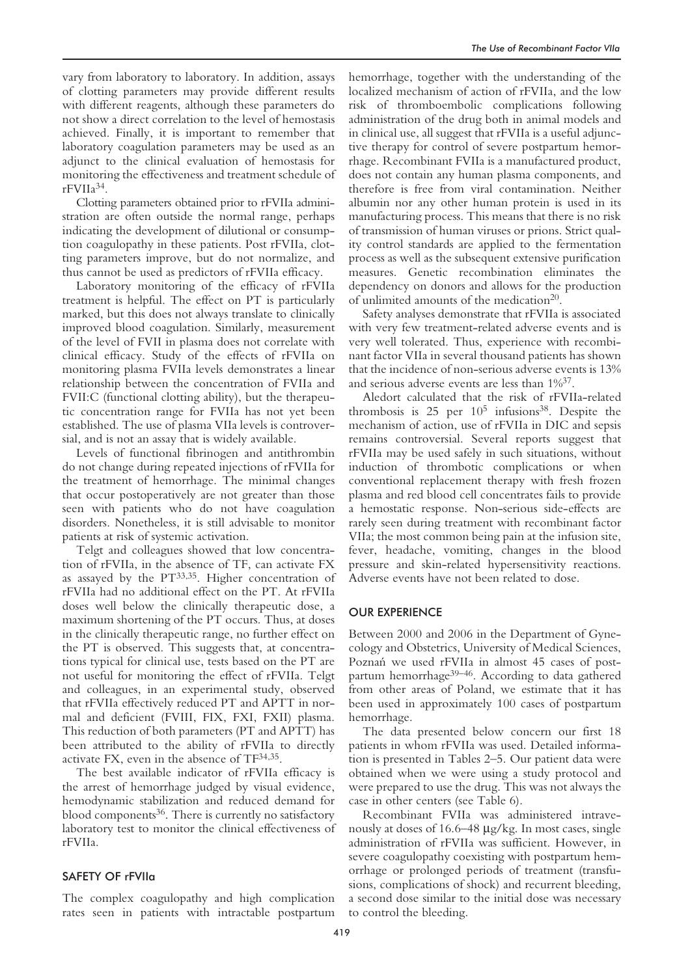vary from laboratory to laboratory. In addition, assays of clotting parameters may provide different results with different reagents, although these parameters do not show a direct correlation to the level of hemostasis achieved. Finally, it is important to remember that laboratory coagulation parameters may be used as an adjunct to the clinical evaluation of hemostasis for monitoring the effectiveness and treatment schedule of rFVIIa34.

Clotting parameters obtained prior to rFVIIa administration are often outside the normal range, perhaps indicating the development of dilutional or consumption coagulopathy in these patients. Post rFVIIa, clotting parameters improve, but do not normalize, and thus cannot be used as predictors of rFVIIa efficacy.

Laboratory monitoring of the efficacy of rFVIIa treatment is helpful. The effect on PT is particularly marked, but this does not always translate to clinically improved blood coagulation. Similarly, measurement of the level of FVII in plasma does not correlate with clinical efficacy. Study of the effects of rFVIIa on monitoring plasma FVIIa levels demonstrates a linear relationship between the concentration of FVIIa and FVII:C (functional clotting ability), but the therapeutic concentration range for FVIIa has not yet been established. The use of plasma VIIa levels is controversial, and is not an assay that is widely available.

Levels of functional fibrinogen and antithrombin do not change during repeated injections of rFVIIa for the treatment of hemorrhage. The minimal changes that occur postoperatively are not greater than those seen with patients who do not have coagulation disorders. Nonetheless, it is still advisable to monitor patients at risk of systemic activation.

Telgt and colleagues showed that low concentration of rFVIIa, in the absence of TF, can activate FX as assayed by the PT33,35. Higher concentration of rFVIIa had no additional effect on the PT. At rFVIIa doses well below the clinically therapeutic dose, a maximum shortening of the PT occurs. Thus, at doses in the clinically therapeutic range, no further effect on the PT is observed. This suggests that, at concentrations typical for clinical use, tests based on the PT are not useful for monitoring the effect of rFVIIa. Telgt and colleagues, in an experimental study, observed that rFVIIa effectively reduced PT and APTT in normal and deficient (FVIII, FIX, FXI, FXII) plasma. This reduction of both parameters (PT and APTT) has been attributed to the ability of rFVIIa to directly activate FX, even in the absence of TF34,35.

The best available indicator of rFVIIa efficacy is the arrest of hemorrhage judged by visual evidence, hemodynamic stabilization and reduced demand for blood components<sup>36</sup>. There is currently no satisfactory laboratory test to monitor the clinical effectiveness of rFVIIa.

# SAFETY OF rFVIIa

The complex coagulopathy and high complication rates seen in patients with intractable postpartum hemorrhage, together with the understanding of the localized mechanism of action of rFVIIa, and the low risk of thromboembolic complications following administration of the drug both in animal models and in clinical use, all suggest that rFVIIa is a useful adjunctive therapy for control of severe postpartum hemorrhage. Recombinant FVIIa is a manufactured product, does not contain any human plasma components, and therefore is free from viral contamination. Neither albumin nor any other human protein is used in its manufacturing process. This means that there is no risk of transmission of human viruses or prions. Strict quality control standards are applied to the fermentation process as well as the subsequent extensive purification measures. Genetic recombination eliminates the dependency on donors and allows for the production of unlimited amounts of the medication<sup>20</sup>.

Safety analyses demonstrate that rFVIIa is associated with very few treatment-related adverse events and is very well tolerated. Thus, experience with recombinant factor VIIa in several thousand patients has shown that the incidence of non-serious adverse events is 13% and serious adverse events are less than 1%37.

Aledort calculated that the risk of rFVIIa-related thrombosis is  $25$  per  $10^5$  infusions<sup>38</sup>. Despite the mechanism of action, use of rFVIIa in DIC and sepsis remains controversial. Several reports suggest that rFVIIa may be used safely in such situations, without induction of thrombotic complications or when conventional replacement therapy with fresh frozen plasma and red blood cell concentrates fails to provide a hemostatic response. Non-serious side-effects are rarely seen during treatment with recombinant factor VIIa; the most common being pain at the infusion site, fever, headache, vomiting, changes in the blood pressure and skin-related hypersensitivity reactions. Adverse events have not been related to dose.

#### OUR EXPERIENCE

Between 2000 and 2006 in the Department of Gynecology and Obstetrics, University of Medical Sciences, Poznań we used rFVIIa in almost 45 cases of postpartum hemorrhage<sup>39–46</sup>. According to data gathered from other areas of Poland, we estimate that it has been used in approximately 100 cases of postpartum hemorrhage.

The data presented below concern our first 18 patients in whom rFVIIa was used. Detailed information is presented in Tables 2–5. Our patient data were obtained when we were using a study protocol and were prepared to use the drug. This was not always the case in other centers (see Table 6).

Recombinant FVIIa was administered intravenously at doses of 16.6–48 µg/kg. In most cases, single administration of rFVIIa was sufficient. However, in severe coagulopathy coexisting with postpartum hemorrhage or prolonged periods of treatment (transfusions, complications of shock) and recurrent bleeding, a second dose similar to the initial dose was necessary to control the bleeding.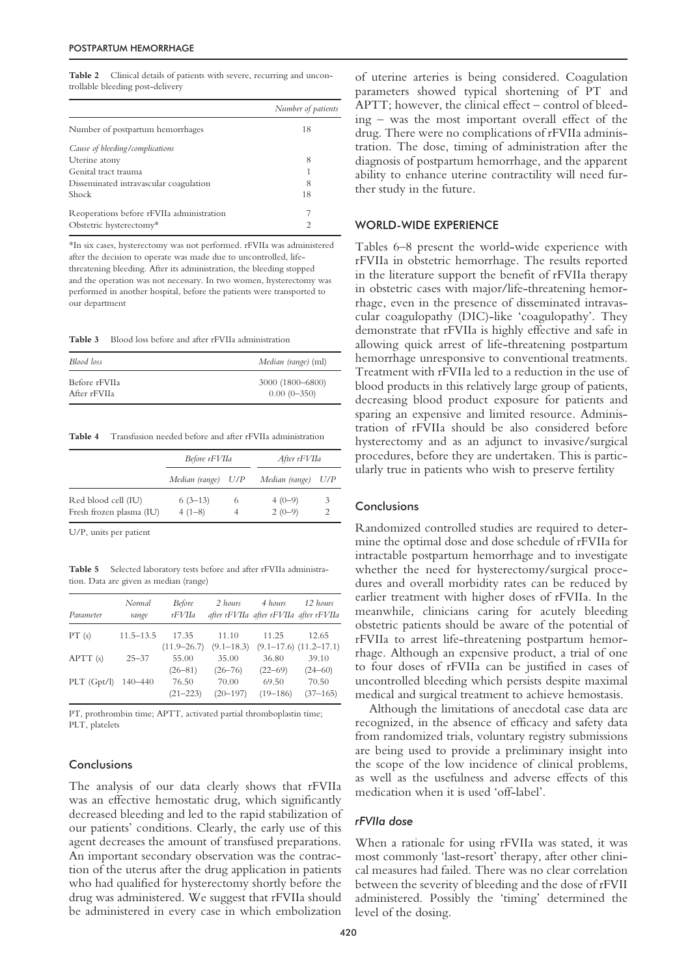Table 2 Clinical details of patients with severe, recurring and uncontrollable bleeding post-delivery

|                                           | Number of patients |
|-------------------------------------------|--------------------|
| Number of postpartum hemorrhages          | 18                 |
| Cause of bleeding/complications           |                    |
| Uterine atony                             | 8                  |
| Genital tract trauma                      |                    |
| Disseminated intravascular coagulation    | 8                  |
| <b>Shock</b>                              | 18                 |
| Reoperations before rFVIIa administration |                    |
| Obstetric hysterectomy*                   | 2                  |

\*In six cases, hysterectomy was not performed. rFVIIa was administered after the decision to operate was made due to uncontrolled, lifethreatening bleeding. After its administration, the bleeding stopped and the operation was not necessary. In two women, hysterectomy was performed in another hospital, before the patients were transported to our department

**Table 3** Blood loss before and after rFVIIa administration

| Blood loss    | Median (range) (ml) |
|---------------|---------------------|
| Before rFVIIa | 3000 (1800–6800)    |
| After rFVIIa  | $0.00(0-350)$       |

**Table 4** Transfusion needed before and after rFVIIa administration

|                          | Before rFVIIa      |   | After rFVIIa   |     |
|--------------------------|--------------------|---|----------------|-----|
|                          | Median (range) U/P |   | Median (range) | U/P |
| Red blood cell (IU)      | $6(3-13)$          | 6 | $4(0-9)$       | 3   |
| Fresh frozen plasma (IU) | $4(1-8)$           |   | $2(0-9)$       |     |

U/P, units per patient

**Table 5** Selected laboratory tests before and after rFVIIa administration. Data are given as median (range)

| Parameter  | Normal<br>range | <b>Before</b><br>rFVIIa | 2 hours               | 4 hours<br>after rFVIIa after rFVIIa after rFVIIa | 12 hours                       |
|------------|-----------------|-------------------------|-----------------------|---------------------------------------------------|--------------------------------|
| PT(s)      | $11.5 - 13.5$   | 17.35                   | 11.10                 | 11.25                                             | 12.65                          |
|            |                 | $(11.9 - 26.7)$         | $(9.1 - 18.3)$        |                                                   | $(9.1 - 17.6)$ $(11.2 - 17.1)$ |
| APTT(s)    | $25 - 37$       | 55.00<br>$(26 - 81)$    | 35.00<br>$(26 - 76)$  | 36.80<br>$(22 - 69)$                              | 39.10<br>$(24 - 60)$           |
| PLT(Gpt/l) | $140 - 440$     | 76.50<br>$(21 - 223)$   | 70.00<br>$(20 - 197)$ | 69.50<br>$(19 - 186)$                             | 70.50<br>$(37 - 165)$          |

PT, prothrombin time; APTT, activated partial thromboplastin time; PLT, platelets

#### Conclusions

The analysis of our data clearly shows that rFVIIa was an effective hemostatic drug, which significantly decreased bleeding and led to the rapid stabilization of our patients' conditions. Clearly, the early use of this agent decreases the amount of transfused preparations. An important secondary observation was the contraction of the uterus after the drug application in patients who had qualified for hysterectomy shortly before the drug was administered. We suggest that rFVIIa should be administered in every case in which embolization

of uterine arteries is being considered. Coagulation parameters showed typical shortening of PT and APTT; however, the clinical effect – control of bleeding – was the most important overall effect of the drug. There were no complications of rFVIIa administration. The dose, timing of administration after the diagnosis of postpartum hemorrhage, and the apparent ability to enhance uterine contractility will need further study in the future.

#### WORLD-WIDE EXPERIENCE

Tables 6–8 present the world-wide experience with rFVIIa in obstetric hemorrhage. The results reported in the literature support the benefit of rFVIIa therapy in obstetric cases with major/life-threatening hemorrhage, even in the presence of disseminated intravascular coagulopathy (DIC)-like 'coagulopathy'. They demonstrate that rFVIIa is highly effective and safe in allowing quick arrest of life-threatening postpartum hemorrhage unresponsive to conventional treatments. Treatment with rFVIIa led to a reduction in the use of blood products in this relatively large group of patients, decreasing blood product exposure for patients and sparing an expensive and limited resource. Administration of rFVIIa should be also considered before hysterectomy and as an adjunct to invasive/surgical procedures, before they are undertaken. This is particularly true in patients who wish to preserve fertility

#### **Conclusions**

Randomized controlled studies are required to determine the optimal dose and dose schedule of rFVIIa for intractable postpartum hemorrhage and to investigate whether the need for hysterectomy/surgical procedures and overall morbidity rates can be reduced by earlier treatment with higher doses of rFVIIa. In the meanwhile, clinicians caring for acutely bleeding obstetric patients should be aware of the potential of rFVIIa to arrest life-threatening postpartum hemorrhage. Although an expensive product, a trial of one to four doses of rFVIIa can be justified in cases of uncontrolled bleeding which persists despite maximal medical and surgical treatment to achieve hemostasis.

Although the limitations of anecdotal case data are recognized, in the absence of efficacy and safety data from randomized trials, voluntary registry submissions are being used to provide a preliminary insight into the scope of the low incidence of clinical problems, as well as the usefulness and adverse effects of this medication when it is used 'off-label'.

## *rFVIIa dose*

When a rationale for using rFVIIa was stated, it was most commonly 'last-resort' therapy, after other clinical measures had failed. There was no clear correlation between the severity of bleeding and the dose of rFVII administered. Possibly the 'timing' determined the level of the dosing.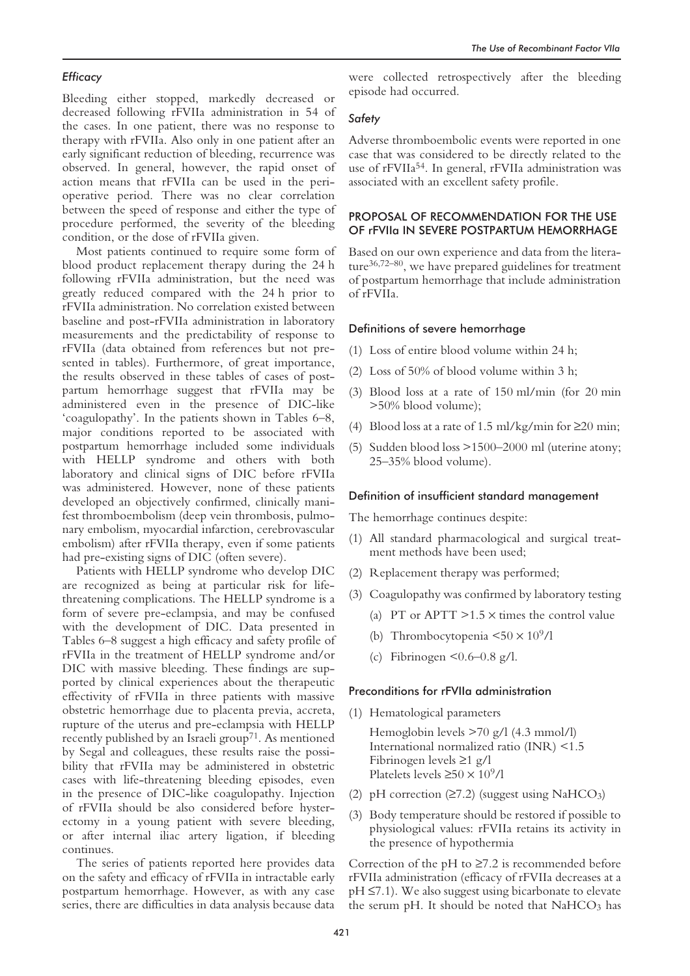# *Efficacy*

Bleeding either stopped, markedly decreased or decreased following rFVIIa administration in 54 of the cases. In one patient, there was no response to therapy with rFVIIa. Also only in one patient after an early significant reduction of bleeding, recurrence was observed. In general, however, the rapid onset of action means that rFVIIa can be used in the perioperative period. There was no clear correlation between the speed of response and either the type of procedure performed, the severity of the bleeding condition, or the dose of rFVIIa given.

Most patients continued to require some form of blood product replacement therapy during the 24 h following rFVIIa administration, but the need was greatly reduced compared with the 24 h prior to rFVIIa administration. No correlation existed between baseline and post-rFVIIa administration in laboratory measurements and the predictability of response to rFVIIa (data obtained from references but not presented in tables). Furthermore, of great importance, the results observed in these tables of cases of postpartum hemorrhage suggest that rFVIIa may be administered even in the presence of DIC-like 'coagulopathy'. In the patients shown in Tables 6–8, major conditions reported to be associated with postpartum hemorrhage included some individuals with HELLP syndrome and others with both laboratory and clinical signs of DIC before rFVIIa was administered. However, none of these patients developed an objectively confirmed, clinically manifest thromboembolism (deep vein thrombosis, pulmonary embolism, myocardial infarction, cerebrovascular embolism) after rFVIIa therapy, even if some patients had pre-existing signs of DIC (often severe).

Patients with HELLP syndrome who develop DIC are recognized as being at particular risk for lifethreatening complications. The HELLP syndrome is a form of severe pre-eclampsia, and may be confused with the development of DIC. Data presented in Tables 6–8 suggest a high efficacy and safety profile of rFVIIa in the treatment of HELLP syndrome and/or DIC with massive bleeding. These findings are supported by clinical experiences about the therapeutic effectivity of rFVIIa in three patients with massive obstetric hemorrhage due to placenta previa, accreta, rupture of the uterus and pre-eclampsia with HELLP recently published by an Israeli group<sup>71</sup>. As mentioned by Segal and colleagues, these results raise the possibility that rFVIIa may be administered in obstetric cases with life-threatening bleeding episodes, even in the presence of DIC-like coagulopathy. Injection of rFVIIa should be also considered before hysterectomy in a young patient with severe bleeding, or after internal iliac artery ligation, if bleeding continues.

The series of patients reported here provides data on the safety and efficacy of rFVIIa in intractable early postpartum hemorrhage. However, as with any case series, there are difficulties in data analysis because data

were collected retrospectively after the bleeding episode had occurred.

# *Safety*

Adverse thromboembolic events were reported in one case that was considered to be directly related to the use of rFVIIa<sup>54</sup>. In general, rFVIIa administration was associated with an excellent safety profile.

# PROPOSAL OF RECOMMENDATION FOR THE USE OF rFVIIa IN SEVERE POSTPARTUM HEMORRHAGE

Based on our own experience and data from the literature36,72–80, we have prepared guidelines for treatment of postpartum hemorrhage that include administration of rFVIIa.

#### Definitions of severe hemorrhage

- (1) Loss of entire blood volume within 24 h;
- (2) Loss of 50% of blood volume within 3 h;
- (3) Blood loss at a rate of 150 ml/min (for 20 min >50% blood volume);
- (4) Blood loss at a rate of 1.5 ml/kg/min for  $\geq$  20 min;
- (5) Sudden blood loss >1500–2000 ml (uterine atony; 25–35% blood volume).

#### Definition of insufficient standard management

The hemorrhage continues despite:

- (1) All standard pharmacological and surgical treatment methods have been used;
- (2) Replacement therapy was performed;
- (3) Coagulopathy was confirmed by laboratory testing
	- (a) PT or APTT  $>1.5 \times$  times the control value
	- (b) Thrombocytopenia  $\leq 50 \times 10^9$ /l
	- (c) Fibrinogen  $\leq 0.6 0.8$  g/l.

#### Preconditions for rFVIIa administration

(1) Hematological parameters

Hemoglobin levels >70 g/l (4.3 mmol/l) International normalized ratio (INR) <1.5 Fibrinogen levels ≥1 g/l Platelets levels  $\geq 50 \times 10^9$ /l

- (2) pH correction  $(≥7.2)$  (suggest using NaHCO<sub>3</sub>)
- (3) Body temperature should be restored if possible to physiological values: rFVIIa retains its activity in the presence of hypothermia

Correction of the pH to  $\geq 7.2$  is recommended before rFVIIa administration (efficacy of rFVIIa decreases at a pH ≤7.1). We also suggest using bicarbonate to elevate the serum pH. It should be noted that  $NAHCO<sub>3</sub>$  has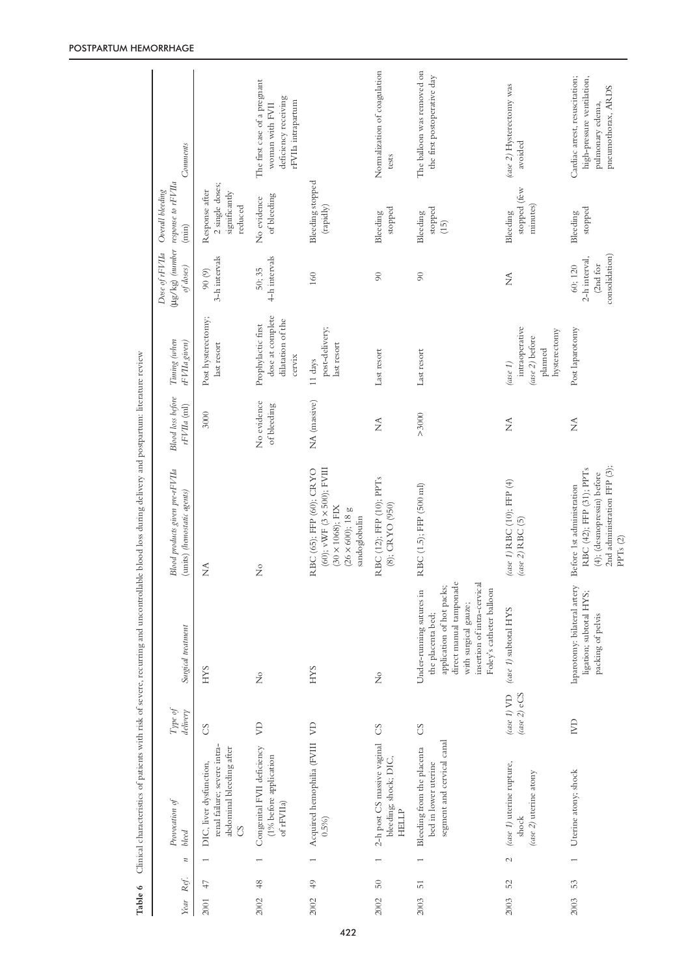| Table 6 |                 |                                                                                           |                                        |                                                                                                                                                                                          | Clinical characteristics of patients with risk of severe, recurring and uncontrollable blood loss during delivery and postpartum: literature review |                                    |                                                                                    |                                                        |                                                                    |                                                                                                        |
|---------|-----------------|-------------------------------------------------------------------------------------------|----------------------------------------|------------------------------------------------------------------------------------------------------------------------------------------------------------------------------------------|-----------------------------------------------------------------------------------------------------------------------------------------------------|------------------------------------|------------------------------------------------------------------------------------|--------------------------------------------------------|--------------------------------------------------------------------|--------------------------------------------------------------------------------------------------------|
| Year    | Ref.            | Provocation of<br>bleed<br>$\boldsymbol{n}$                                               | Type of<br>delivery                    | Surgial treatment                                                                                                                                                                        | Blood products given pre-rFVIIa<br>(units) (hemostatic agents)                                                                                      | Blood loss before<br>$rFVIIa$ (ml) | Timing (when<br>rFVIIa given)                                                      | Dose of rFVIIa<br>of doses)                            | (µg/kg) (number response to rFVIIa<br>Overall bleeding<br>$(\min)$ | Comments                                                                                               |
| 2001    | 47              | renal failure; severe intra-<br>abdominal bleeding after<br>DIC, liver dysfunction,<br>CS | S                                      | <b>SAH</b>                                                                                                                                                                               | $\sum_{i=1}^{n}$                                                                                                                                    | 3000                               | Post hysterectomy;<br>last resort                                                  | 3-h intervals<br>$(6)$ 06                              | 2 single doses;<br>Response after<br>significantly<br>reduced      |                                                                                                        |
| 2002    | 48              | Congenital FVII deficiency<br>(1% before application<br>of rFVIIa)<br>$\overline{ }$      | $\mathbb{R}$                           | $\stackrel{\circ}{\phantom{}_{\sim}}$                                                                                                                                                    | $\frac{1}{2}$                                                                                                                                       | No evidence<br>of bleeding         | dose at complete<br>dilatation of the<br>Prophylactic first<br>cervix              | 4-h intervals<br>50; 35                                | of bleeding<br>No evidence                                         | The first case of a pregnant<br>deficiency receiving<br>rFVIIa intrapartum<br>woman with FVII          |
| 2002    | 49              | Acquired hemophilia (FVIII<br>$0.5\%$<br>$\overline{ }$                                   | $\beta$                                | <b>SAH</b>                                                                                                                                                                               | (60); vWF (3 $\times$ 500); FVIII<br>RBC (65); FFP (60); CRYO<br>$(30 \times 1068)$ ; FIX<br>$(26\times600);$ $18$ g<br>sandoglobulin               | NA (massive)                       | post-delivery;<br>last resort<br>11 days                                           | 160                                                    | Bleeding stopped<br>(rapidly)                                      |                                                                                                        |
| 2002    | $50\,$          | 2-h post CS massive vaginal<br>bleeding; shock; DIC,<br><b>HELLP</b>                      | $\rm_{CS}$                             | $\frac{1}{2}$                                                                                                                                                                            | RBC (12); FFP (10); PPTs<br>(8); CRYO (950)                                                                                                         | $\stackrel{\triangle}{\geq}$       | Last resort                                                                        | $\infty$                                               | stopped<br>Bleeding                                                | Normalization of coagulation<br>tests                                                                  |
| 2003    | $\overline{51}$ | segment and cervical canal<br>Bleeding from the placenta<br>bed in lower uterine<br>I     | S                                      | direct manual tamponade<br>insertion of intra-cervical<br>application of hot packs;<br>Foley's catheter balloon<br>Under-running sutures in<br>with surgical gauze;<br>the placenta bed; | RBC (1.5); FFP (500 ml)                                                                                                                             | >3000                              | Last resort                                                                        | $\overline{6}$                                         | stopped<br>Bleeding<br>(15)                                        | The balloon was removed on<br>the first postoperative day                                              |
| 2003    | 52              | (case 1) uterine rupture,<br>(case 2) uterine atony<br>shock<br>$\mathcal{C}$             | $(\text{case 2})$ eCS<br>(case $1)$ VD | (case 1) subtotal HYS                                                                                                                                                                    | (case 1) RBC (10); FFP (4)<br>(case 2) RBC (5)                                                                                                      | $\sum_{i=1}^{n}$                   | intraoperative<br>hysterectomy<br>(case 2) before<br>planned<br>$(\text{case } 1)$ | Ź                                                      | stopped (few<br>minutes)<br>Bleeding                               | (case 2) Hysterectomy was<br>avoided                                                                   |
| 2003    | 53              | Uterine atony; shock<br>$\overline{\phantom{0}}$                                          | $\mathbb{R}$                           | laparotomy: bilateral artery<br>ligation; subtotal HYS;<br>packing of pelvis                                                                                                             | 2nd administration FFP (3);<br>RBC (42); FFP (31); PPTs<br>(4); (desmopressin) before<br>Before 1st administration<br>PPTs (2)                      | $\lessapprox$                      | Post laparotomy                                                                    | consolidation)<br>2-h interval,<br>(2nd for<br>60; 120 | stopped<br>Bleeding                                                | Cardiac arrest, resuscitation;<br>high-pressure ventilation,<br>pneumothorax, ARDS<br>pulmonary edema, |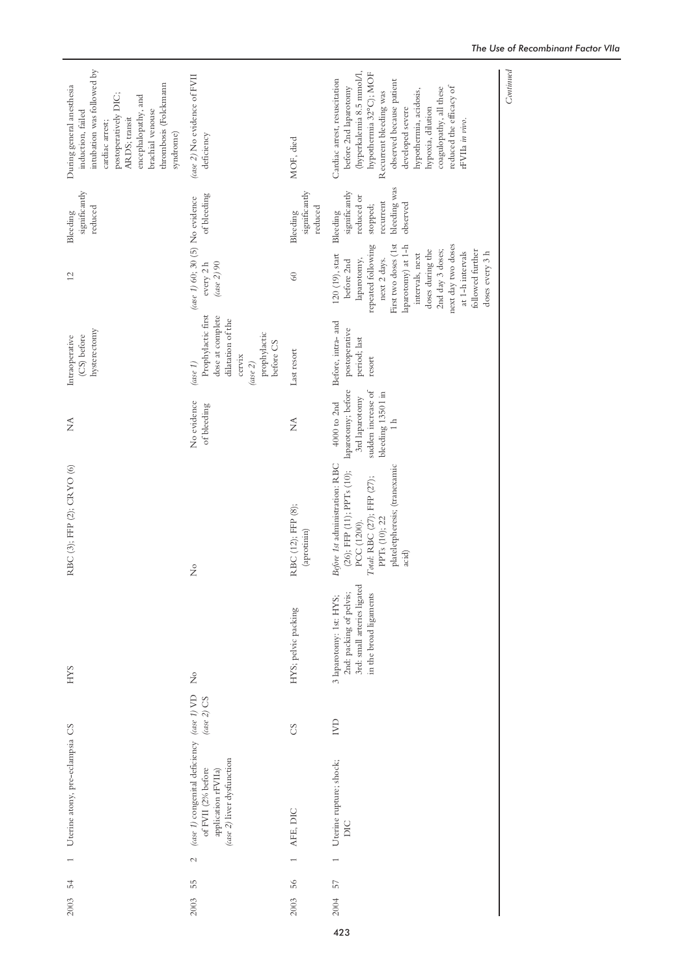| intubation was followed by<br>thrombosis (Folckmann<br>During general anesthesia<br>postoperatively DIC;<br>encephalopathy, and<br>brachial venouse<br>induction, failed<br>ARDS; transit<br>cardiac arrest;<br>syndrome) | (case 2) No evidence of FVII<br>deficiency                                                                                         | MOF, died                            | (hyperkalemia 8.5 mmol/l,<br>hypothermia 32°C); MOF<br>Cardiac arrest, resuscitation<br>observed because patient<br>reduced the efficacy of<br>before 2nd laparotomy<br>coagulopathy, all these<br>hypothermia, acidosis,<br>Recurrent bleeding was<br>hypoxia, dilution<br>developed severe<br>rFVIIa in vivo. |
|---------------------------------------------------------------------------------------------------------------------------------------------------------------------------------------------------------------------------|------------------------------------------------------------------------------------------------------------------------------------|--------------------------------------|-----------------------------------------------------------------------------------------------------------------------------------------------------------------------------------------------------------------------------------------------------------------------------------------------------------------|
| significantly<br>reduced<br>Bleeding                                                                                                                                                                                      | of bleeding                                                                                                                        | significantly<br>reduced<br>Bleeding | bleeding was<br>significantly<br>reduced or<br>recurrent<br>observed<br>stopped;<br>Bleeding                                                                                                                                                                                                                    |
| 12                                                                                                                                                                                                                        | (case 1) 60; 30 (5) No evidence<br>every 2 h<br>(ase 2) 90                                                                         | 60                                   | First two doses (1st<br>repeated following<br>laparotomy) at 1-h<br>next day two doses<br>doses during the<br>2nd day 3 doses;<br>followed further<br>at 1-h intervals<br>doses every 3 h<br>120 (19), start<br>intervals, next<br>next 2 days.<br>laparotomy,<br>before 2nd                                    |
| hysterectomy<br>(CS) before<br>Intraoperative                                                                                                                                                                             | Prophylactic first<br>dose at complete<br>dilatation of the<br>prophylactic<br>before CS<br>cervix<br>(ase 1)<br>$(\text{case 2})$ | Last resort                          | Before, intra- and<br>postoperative<br>period; last<br>resort                                                                                                                                                                                                                                                   |
| Ź                                                                                                                                                                                                                         | No evidence<br>of bleeding                                                                                                         | $\lessapprox$                        | laparotomy; before<br>sudden increase of<br>bleeding 1350 l in<br>3rd laparotomy<br>$4000$ to $2nd$                                                                                                                                                                                                             |
| RBC (3); FFP (2); CRYO (6)                                                                                                                                                                                                | $\frac{1}{2}$                                                                                                                      | RBC (12); FFP (8);<br>(aprotinin)    | Before 1st administration: RBC<br>plateletpheresis; (tranexamic<br>(26); FFP (11); PPTs (10);<br>Total: RBC (27); FFP (27);<br>PPTs (10); 22<br>PCC (1200).<br>acid)                                                                                                                                            |
| <b>SAH</b>                                                                                                                                                                                                                | $\mathsf{S}^{\circ}$                                                                                                               | HYS; pelvic packing                  | 3rd: small arteries ligated<br>2nd: packing of pelvis;<br>in the broad ligaments<br>3 laparotomy: 1st: HYS;                                                                                                                                                                                                     |
|                                                                                                                                                                                                                           | $(\csc 2)$ CS                                                                                                                      | S                                    | $\mathbb{R}$                                                                                                                                                                                                                                                                                                    |
| Uterine atony, pre-eclampsia CS                                                                                                                                                                                           | (case 1) congenital deficiency (case 1) VD<br>(case 2) liver dysfunction<br>of FVII (2% before<br>application rFVIIa)              | AFE, DIC                             | Uterine rupture; shock;<br>DIC                                                                                                                                                                                                                                                                                  |
| 54                                                                                                                                                                                                                        | $\mathcal{L}$<br>55                                                                                                                | 56                                   | 57                                                                                                                                                                                                                                                                                                              |
| 2003                                                                                                                                                                                                                      | 2003                                                                                                                               | 2003                                 | 2004                                                                                                                                                                                                                                                                                                            |

#### *The Use of Recombinant Factor VIIa*

 $Continued$ *Continued*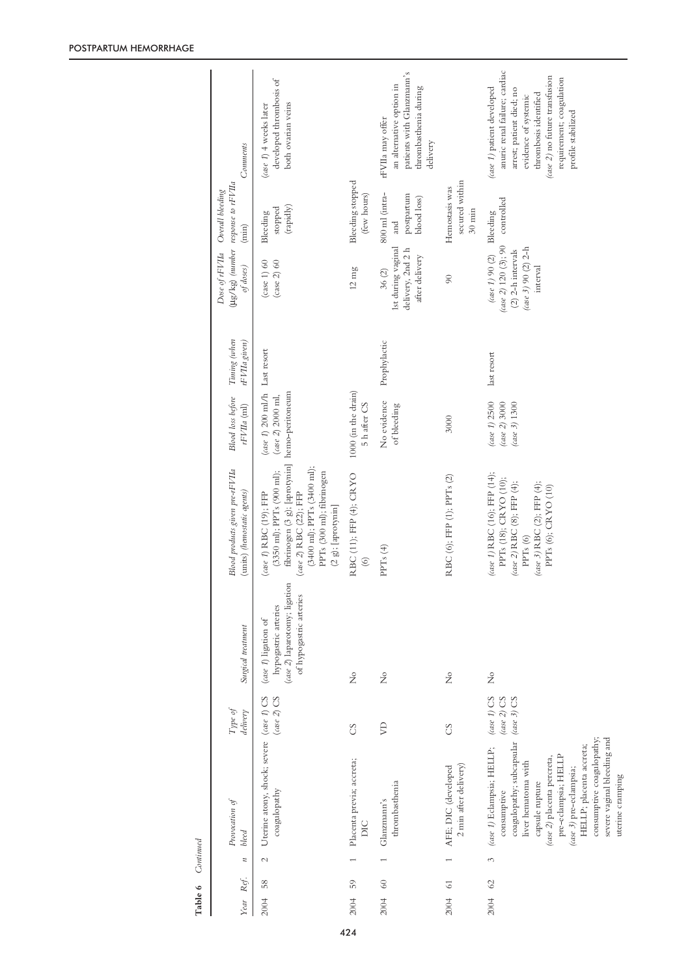| Year | Ref.            | $\boldsymbol{\pi}$ | Provocation of<br>bleed                                                                                                                                                                                                                                                                                        | Type of<br>delivery                                | Surgial treatment                                                                                      | Blood products given pre-rFVIIa<br>(units) (hemostatic agents)                                                                                                                                                                                     | Blood loss before<br>$rFVIIa$ (ml)                                                                                | Timing (when<br>rFVIIa given) | Dose of rFVIIa Overall bleeding<br>of doses)                                                          | (µg/kg) (number response to rFVIIa<br>$(\min)$       | Comments                                                                                                                                                                                                                     |
|------|-----------------|--------------------|----------------------------------------------------------------------------------------------------------------------------------------------------------------------------------------------------------------------------------------------------------------------------------------------------------------|----------------------------------------------------|--------------------------------------------------------------------------------------------------------|----------------------------------------------------------------------------------------------------------------------------------------------------------------------------------------------------------------------------------------------------|-------------------------------------------------------------------------------------------------------------------|-------------------------------|-------------------------------------------------------------------------------------------------------|------------------------------------------------------|------------------------------------------------------------------------------------------------------------------------------------------------------------------------------------------------------------------------------|
| 2004 | 58              | $\mathcal{L}$      | Uterine atony, shock; severe (case 1) CS<br>coagulopathy                                                                                                                                                                                                                                                       | $\left($ case 2) CS                                | (ase 2) laparotomy; ligation<br>of hypogastric arteries<br>hypogastric arteries<br>(ase 1) ligation of | fibrinogen (3 g); [aprotynin]<br>$(3400 \text{ ml})$ ; PPTs $(3400 \text{ ml})$ ;<br>$(3350 \text{ }\mathrm{ml});$ PPTs (900 ml);<br>PPTs (300 ml); fibrinogen<br>(case 2) RBC (22); FFP<br>(case 1) RBC (19); FFP<br>$(2 \text{ g});$ [aprotynin] | $\left(\text{case } 1\right)$ 200 ml/h Last resort<br>hemo-peritoneum<br>$\left( \text{case } 2 \right)$ 2000 ml, |                               | (case 1) 60<br>$(\text{case 2})$ 60                                                                   | (rapidly)<br>stopped<br>Bleeding                     | developed thrombosis of<br>both ovarian veins<br>(ase 1) 4 weeks later                                                                                                                                                       |
| 2004 | 59              |                    | Placenta previa; accreta;<br>DIC                                                                                                                                                                                                                                                                               | SC                                                 | $\frac{1}{2}$                                                                                          | RBC (11); FFP (4); CRYO<br>$\circledcirc$                                                                                                                                                                                                          | 1000 (in the drain)<br>5 h after CS                                                                               |                               | $12 \text{ mg}$                                                                                       | Bleeding stopped<br>(few hours)                      |                                                                                                                                                                                                                              |
| 2004 | $60\,$          |                    | thrombasthenia<br>Glanzmann's                                                                                                                                                                                                                                                                                  | S                                                  | $\frac{1}{2}$                                                                                          | PPTs $(4)$                                                                                                                                                                                                                                         | No evidence<br>of bleeding                                                                                        | Prophylactic                  | 1st during vaginal<br>delivery, 2nd 2 h<br>after delivery<br>36(2)                                    | 800 ml (intra-<br>postpartum<br>blood loss)<br>and   | patients with Glanzmann's<br>an alternative option in<br>thrombasthenia during<br>rFVIIa may offer<br>delivery                                                                                                               |
| 2004 | $\overline{61}$ |                    | 2 min after delivery)<br>AFE; DIC (developed                                                                                                                                                                                                                                                                   | S                                                  | $\frac{1}{2}$                                                                                          | RBC (6); FFP (1); PPTs (2)                                                                                                                                                                                                                         | 3000                                                                                                              |                               | $\overline{6}$                                                                                        | secured within<br>Hemostasis was<br>$30 \text{ min}$ |                                                                                                                                                                                                                              |
| 2004 | 62              | 3                  | coagulopathy; subcapsular<br>consumptive coagulopathy;<br>severe vaginal bleeding and<br>(case 1) Eclampsia; HELLP;<br>HELLP; placenta accreta;<br>pre-eclampsia; HELLP<br>(case 2) placenta percreta,<br>liver hematoma with<br>(case 3) pre-eclampsia;<br>uterine cramping<br>capsule rupture<br>consumptive | (case 1) $CS$<br>$(\case\ 2)$ CS<br>$(\case$ 3) CS | $\frac{1}{2}$                                                                                          | (case 1) RBC (16); FFP (14);<br>PPTs (18); CRYO (10);<br>(case 2) RBC (8); FFP (4);<br>(case 3) RBC (2); FFP (4);<br>PPTs (6); CRYO (10)<br>PPTs (6)                                                                                               | (case $1/2500$<br>(case $2$ ) 3000<br>$(\text{case } 3) 1300$                                                     | last resort                   | (ase $2)$ 120 (3); 90<br>$(\case 3)$ 90 (2) 2-h<br>(2) 2-h intervals<br>(case $1)$ 90 (2)<br>interval | controlled<br>Bleeding                               | anuric renal failure; cardiac<br>(case 2) no future transfusion<br>requirement; coagulation<br>(case 1) patient developed<br>arrest; patient died; no<br>thrombosis identified<br>evidence of systemic<br>profile stabilized |

Table 6 Continued **Table 6** *Continued*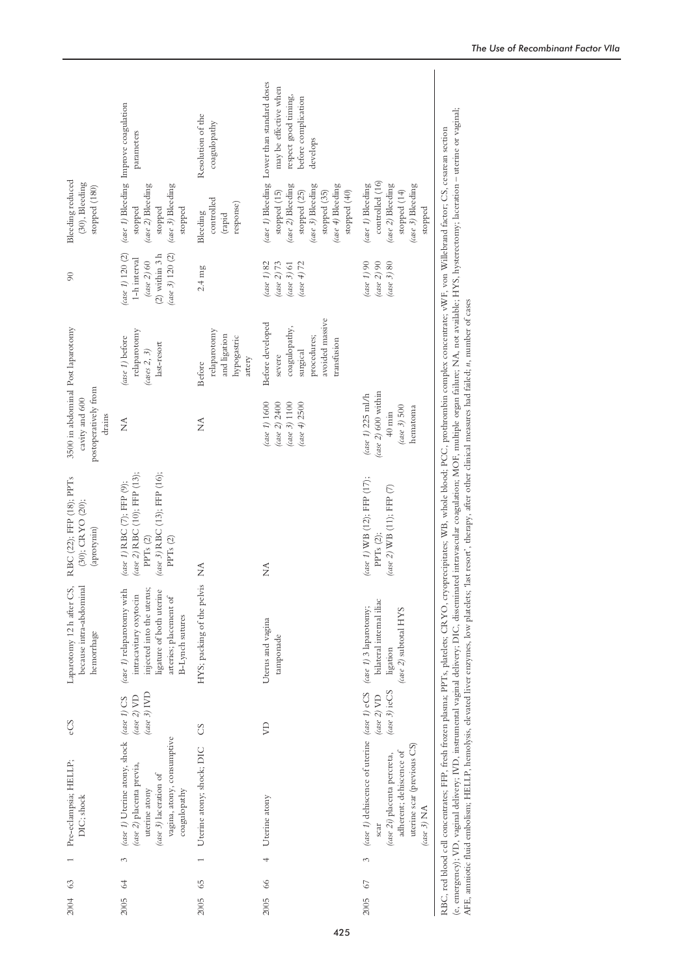|                                                                                       | (case 1) Bleeding Improve coagulation<br>parameters                                                                                                             | Resolution of the<br>coagulopathy                                      | (case 1) Bleeding Lower than standard doses<br>may be effective when<br>respect good timing,<br>before complication<br>develops |                                                                                                                                                                       |                                                                                                                                                                                                                                                                                                                                                                                                                                                                                                                                                                                                                           |
|---------------------------------------------------------------------------------------|-----------------------------------------------------------------------------------------------------------------------------------------------------------------|------------------------------------------------------------------------|---------------------------------------------------------------------------------------------------------------------------------|-----------------------------------------------------------------------------------------------------------------------------------------------------------------------|---------------------------------------------------------------------------------------------------------------------------------------------------------------------------------------------------------------------------------------------------------------------------------------------------------------------------------------------------------------------------------------------------------------------------------------------------------------------------------------------------------------------------------------------------------------------------------------------------------------------------|
| Bleeding reduced<br>(30), Bleeding<br>stopped (180)                                   | (case 2) Bleeding<br>(case 3) Bleeding<br>stopped<br>stopped<br>stopped                                                                                         | controlled<br>response)<br>Bleeding<br>(rapid                          | (case 2) Bleeding<br>(case 3) Bleeding<br>$(\csc 4)$ Bleeding<br>stopped (15)<br>stopped (25)<br>stopped (35)<br>stopped (40)   | controlled (16)<br>(case 1) Bleeding<br>(case 2) Bleeding<br>(case 3) Bleeding<br>stopped (14)<br>stopped                                                             |                                                                                                                                                                                                                                                                                                                                                                                                                                                                                                                                                                                                                           |
| $\infty$                                                                              | $(\case 1) 120 (2)$<br>$(\case 3)$ 120 (2)<br>$(2)$ within $3\ \mathrm{h}$<br>1-h interval<br>(case 2) $60\,$                                                   | $2.4 \text{ mg}$                                                       | (case $1/82$<br>$(\text{case } 4)$ 72<br>$(\text{case 2})$ 73<br>(ase 3) 61                                                     | $(\text{ase } 3)$ 80<br>(ase 1) 90<br>(ase 2) 90                                                                                                                      |                                                                                                                                                                                                                                                                                                                                                                                                                                                                                                                                                                                                                           |
|                                                                                       | relaparotomy<br>(case 1) before<br>last-resort<br>$(\cos \theta, 3)$                                                                                            | relaparotomy<br>and ligation<br>hypogastric<br>artery<br><b>Before</b> | avoided massive<br>Before developed<br>coagulopathy,<br>procedures;<br>transfusion<br>surgical<br>severe                        |                                                                                                                                                                       |                                                                                                                                                                                                                                                                                                                                                                                                                                                                                                                                                                                                                           |
| 3500 in abdominal Post laparotomy<br>postoperatively from<br>cavity and 600<br>drains | $\tilde{\ge}$                                                                                                                                                   | Ź                                                                      | $(\text{case } 1) 1600$<br>$(\text{case } 3)$ 1100<br>(case 4) 2500<br>(case 2) 2400                                            | $(\csc 2)$ 600 within<br>(case $1$ ) 225 ml/h<br>$(\text{case } 3)$ 500<br>hematoma<br>$40$ min                                                                       |                                                                                                                                                                                                                                                                                                                                                                                                                                                                                                                                                                                                                           |
| RBC (22); FFP (18); PPTs<br>(30); CRYO (20);<br>$\left(\text{aprotynin}\right)$       | (case 2) RBC (10); FFP (13);<br>(case 3) RBC (13); FFP (16);<br>(case 1) RBC (7); FFP (9);<br>PPT <sub>s</sub> (2)<br>${\rm PPTs}$ (2)                          | ≨                                                                      | $\widetilde{\Sigma}$                                                                                                            | (case 1) WB (12); FFP (17);<br>(case 2) WB (11); FFP (7)<br>PPTs (2);                                                                                                 |                                                                                                                                                                                                                                                                                                                                                                                                                                                                                                                                                                                                                           |
| because intra-abdominal<br>Laparotomy 12 h after CS,<br>hemorrhage                    | injected into the uterus;<br>(case 1) relaparotomy with<br>ligature of both uterine<br>intracavitary oxytocin<br>arteries; placement of<br>B-Lynch sutures      | HYS; packing of the pelvis                                             | Uterus and vagina<br>tamponade                                                                                                  | bilateral internal iliac<br>(case $1$ ) 3 laparotomy;<br>(case 2) subtotal HYS<br>ligation                                                                            |                                                                                                                                                                                                                                                                                                                                                                                                                                                                                                                                                                                                                           |
| eCS                                                                                   | $(\text{case } 3)$ IVD<br>(case $2)$ VD                                                                                                                         | $\infty$                                                               | S                                                                                                                               | $(\text{case } 3)$ ieCS<br>(case 2) $VD$                                                                                                                              |                                                                                                                                                                                                                                                                                                                                                                                                                                                                                                                                                                                                                           |
| Pre-eclampsia; HELLP;<br>DIC; shock                                                   | (case 1) Uterine atony, shock (case 1) CS<br>vagina, atony, consumptive<br>(case 2) placenta previa,<br>(case 3) laceration of<br>uterine atony<br>coagulopathy | Uterine atony; shock; DIC                                              | Uterine atony                                                                                                                   | (case 1) dehiscence of uterine (case 1) eCS<br>uterine scar (previous CS)<br>adherent; dehiscence of<br>(case 2i) placenta percreta,<br>$(\text{case } 3)$ NA<br>scar | (e, emergency); VD, vaginal delivery; IVD, instrumental vaginal delivery; DIC, disseminated intravascular coagulation; MOF, multiple organ failure; NA, not available; HYS, hysterectomy; laceration – uterine or vaginal;<br>RBC, red blood cell concentrates; FFP, fresh frozen plasma; PPTs, platelets; CRYO, cryoprecipitates; WB, whole blood; PCC, prothrombin complex concentrate; vWF, von Willebrand factor; CS, cesarean section<br>AFE, anniotic fluid embolism; HELLP, hemolysis, elevated liver enzymes, low platelets; 'last resort'; therapy, after other clinical measures had failed; n, number of cases |
|                                                                                       | 3                                                                                                                                                               |                                                                        | 4                                                                                                                               | 3                                                                                                                                                                     |                                                                                                                                                                                                                                                                                                                                                                                                                                                                                                                                                                                                                           |
| 63<br>2004                                                                            | 64<br>2005                                                                                                                                                      | 65<br>2005                                                             | 66<br>2005                                                                                                                      | 67<br>2005                                                                                                                                                            |                                                                                                                                                                                                                                                                                                                                                                                                                                                                                                                                                                                                                           |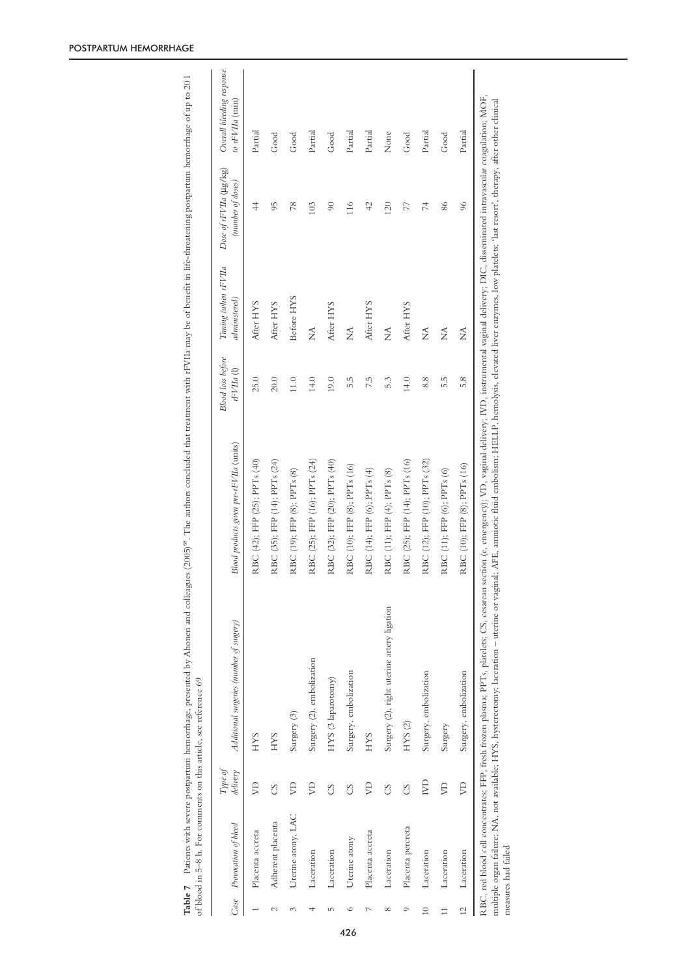| Case           | Provocation of bleed | Type of<br>delivery | Additional surgeries (number of surgery)   | Blood products given pre-rFVIIa (units) | <b>Blood</b> loss before<br>$rFVIIa$ (l) | Timing (when rFVIIa<br>administered) | Dose of rFVIIa (µg/kg)<br>(number of doses) | Overall bleeding response<br>to $rFVIIa$ (min) |
|----------------|----------------------|---------------------|--------------------------------------------|-----------------------------------------|------------------------------------------|--------------------------------------|---------------------------------------------|------------------------------------------------|
|                | Placenta accreta     | $\beta$             | <b>HYS</b>                                 | RBC (42); FFP (25); PPTs (40)           | 25.0                                     | After HYS                            | $\overline{4}$                              | Partial                                        |
| $\sim$         | Adherent placenta    | S                   | <b>HYS</b>                                 | RBC (35); FFP (14); PPTs (24)           | 20.0                                     | After HYS                            | 95                                          | Good                                           |
| 3              | Uterine atony, LAC   | S                   | Surgery (3)                                | RBC (19); FFP (8); PPTs (8)             | $11.0$                                   | Before HYS                           | 78                                          | Good                                           |
| 4              | Laceration           | S                   | Surgery (2), embolization                  | RBC (25); FFP (16); PPTs (24)           | 14.0                                     | ≨                                    | 103                                         | Partial                                        |
| LO,            | Laceration           | CS                  | HYS (3 laparotomy)                         | RBC (32); FFP (20); PPTs (40)           | 19.0                                     | After HYS                            | $\overline{6}$                              | Good                                           |
| $\circ$        | Uterine atony        | S                   | Surgery, embolization                      | RBC (10); FFP (8); PPTs (16)            | 5.5                                      | $\widetilde{\Xi}$                    | 116                                         | Partial                                        |
| 7              | Placenta accreta     | $\beta$             | <b>HYS</b>                                 | RBC (14); FFP (6); PPTs (4)             | 7.5                                      | After HYS                            | $\overline{4}$                              | Partial                                        |
| $^{\circ}$     | Laceration           | S                   | Surgery (2), right uterine artery ligation | RBC (11); FFP (4); PPTs (8)             | 5.3                                      | $\widetilde{\Sigma}$                 | 120                                         | None                                           |
| $\circ$        | Placenta percreta    | CS                  | HYS (2)                                    | RBC (25); FFP (14); PPTs (16)           | 14.0                                     | After HYS                            | 77                                          | Good                                           |
| $\approx$      | Laceration           | IVD                 | Surgery, embolization                      | RBC (12); FFP (10); PPTs (32)           | 8.8                                      | ź                                    | 74                                          | Partial                                        |
| $\Box$         | Laceration           | $\mathbb{R}$        | Surgery                                    | RBC (11); FFP (6); PPTs (6)             | 5.5                                      | $\mathop{\stackrel{\leq}{\geq}}$     | 86                                          | Good                                           |
| $\overline{2}$ | Laceration           | $\beta$             | Surgery, embolization                      | RBC (10); FFP (8); PPTs (16)            | 5.8                                      | ź                                    | 96                                          | Partial                                        |

**Table 7** Patients with severe postpartum hemorthage, presented by Ahonen and colleagues (2005)<sup>68</sup>. The authors concluded that treatment with rFVIIa may be of benefit in life-chreatening postpartum hemorthage of up to 201 Patients with severe postpartum hemorrhage, presented by Ahonen and colleagues (2005)<sup>68</sup>. The authors concluded that treatment with rFVIIa may be of benefit in life-threatening postpartum hemorrhage of up to 20 l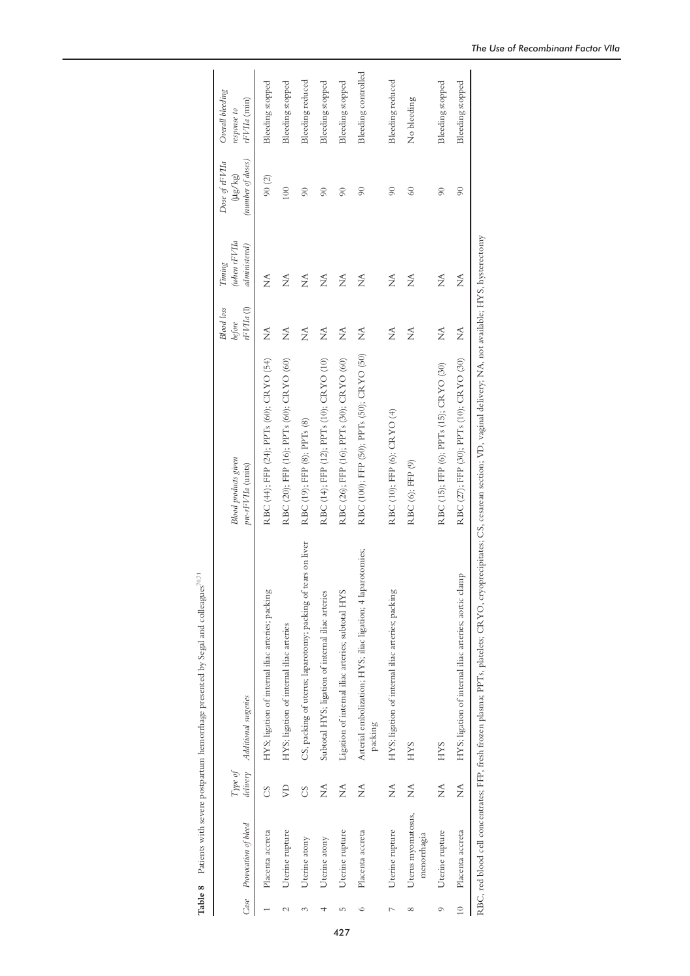|               |                                   |                     |                                                                                                                                                                                       |                                                   | <b>Blood</b> loss                        | (when rFVIIa<br>Timing | Dose of rFVIIa                    | Overall bleeding              |
|---------------|-----------------------------------|---------------------|---------------------------------------------------------------------------------------------------------------------------------------------------------------------------------------|---------------------------------------------------|------------------------------------------|------------------------|-----------------------------------|-------------------------------|
|               | Case Provocation of bleed         | delivery<br>Type of | Additional surgeries                                                                                                                                                                  | <b>Blood</b> products given<br>pre-rFVIIa (units) | rFVIIa (l)<br>before                     | administered)          | (number of doses)<br>$(\mu$ g/kg) | $rFVIIa$ (min)<br>response to |
|               | Placenta accreta                  | S                   | HYS; ligation of internal iliac arteries; packing                                                                                                                                     | RBC (44); FFP (24); PPTs (60); CRYO (54)          | ź                                        | Ź                      | 90(2)                             | Bleeding stopped              |
| $\mathcal{C}$ | Uterine rupture                   | $\beta$             | HYS; ligation of internal iliac arteries                                                                                                                                              | RBC (20); FFP (16); PPTs (60); CRYO (60)          | Ź                                        | $\widetilde{\Sigma}$   | 100                               | Bleeding stopped              |
| 3             | Uterine atony                     | S                   | CS, packing of uterus; laparotomy; packing of tears on liver                                                                                                                          | RBC (19); FFP (8); PPTs (8)                       | $\widetilde{\Sigma}$                     | Ź                      | $\infty$                          | Bleeding reduced              |
|               | Uterine atony                     | Ź                   | Subtotal HYS; ligation of internal iliac arteries                                                                                                                                     | RBC (14); FFP (12); PPTs (10); CRYO (10)          | Ź                                        | Ź                      | $\infty$                          | Bleeding stopped              |
| LC            | Uterine rupture                   | Ź                   | Ligation of internal iliac arteries; subtotal HYS                                                                                                                                     | RBC (26); FFP (16); PPTs (30); CRYO (60)          | $\mathop{\simeq}_\mathrel{{\mathsf{Z}}}$ | $\widetilde{\Sigma}$   | $\infty$                          | Bleeding stopped              |
| $\circ$       | Placenta accreta                  | Ź                   | Arterial embolization; HYS; iliac ligation; 4 laparotomies;<br>packing                                                                                                                | RBC (100); FFP (50); PPTs (50); CRYO (50)         | Ź                                        | Ź                      | $\infty$                          | Bleeding controlled           |
| Γ             | Uterine rupture                   | Ź                   | HYS; ligation of internal iliac arteries; packing                                                                                                                                     | RBC (10); FFP (6); CRYO (4)                       | Ź                                        | ź                      | $\infty$                          | Bleeding reduced              |
| $^{\circ}$    | Uterus myomatosus,<br>menorrhagia | ź                   | <b>HYS</b>                                                                                                                                                                            | RBC (6); FFP (9)                                  | Ź                                        | Ź                      | $\degree$                         | No bleeding                   |
| $\circ$       | Uterine rupture                   | Ź                   | <b>HYS</b>                                                                                                                                                                            | RBC (15); FFP (6); PPTs (15); CRYO (30)           | Ź                                        | Ź                      | $\infty$                          | Bleeding stopped              |
| $\approx$     | Placenta accreta                  | Ź                   | HYS; ligation of internal iliac arteries; aortic clamp                                                                                                                                | RBC (27); FFP (30); PPTs (10); CRYO (30)          | $\mathop{\simeq}_{\mathop{\Sigma}}$      | Ź                      | $\infty$                          | Bleeding stopped              |
|               |                                   |                     | RBC, red blood cell concentrates; FFP, fresh frozen plasma; PPTs, platelets; CRYO, cryoprecipitates; CS, cesarean section; VD, vaginal delivery; NA, not available; HYS, hysterectomy |                                                   |                                          |                        |                                   |                               |

Table 8 Patients with severe postpartum hemorrhage presented by Segal and colleagues  $^{70,71}$ **Table 8** Patients with severe postpartum hemorrhage presented by Segal and colleagues<sup>70,71</sup>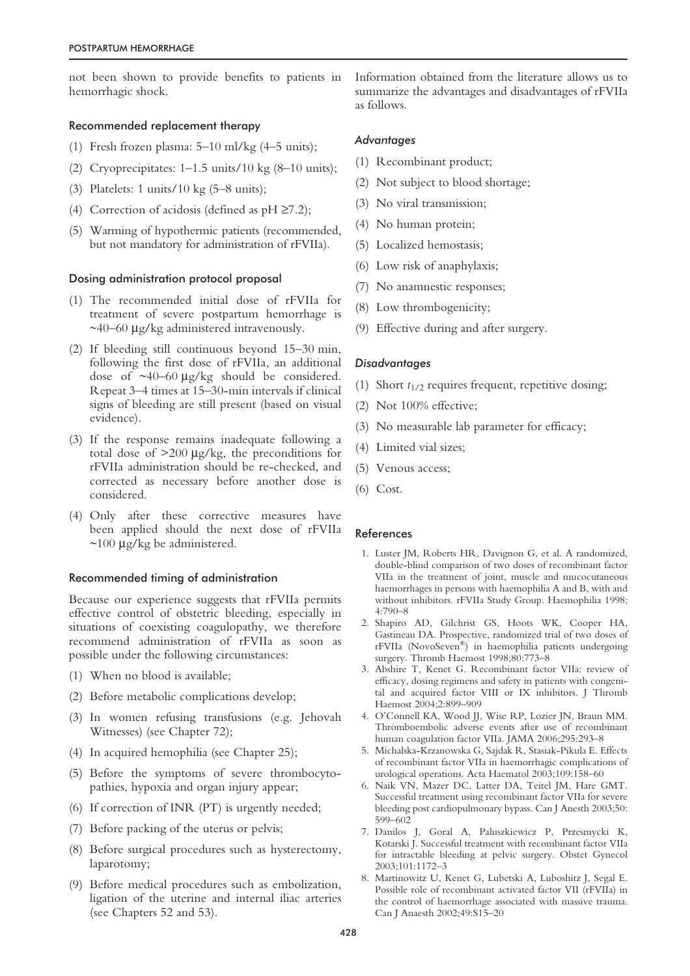not been shown to provide benefits to patients in hemorrhagic shock.

# Recommended replacement therapy

- (1) Fresh frozen plasma: 5–10 ml/kg (4–5 units);
- (2) Cryoprecipitates:  $1-1.5$  units/ $10 \text{ kg}$  (8- $10$  units);
- (3) Platelets: 1 units/10 kg (5–8 units);
- (4) Correction of acidosis (defined as  $pH \ge 7.2$ );
- (5) Warming of hypothermic patients (recommended, but not mandatory for administration of rFVIIa).

## Dosing administration protocol proposal

- (1) The recommended initial dose of rFVIIa for treatment of severe postpartum hemorrhage is  $\sim$ 40–60 µg/kg administered intravenously.
- (2) If bleeding still continuous beyond 15–30 min, following the first dose of rFVIIa, an additional dose of ~40–60 µg/kg should be considered. Repeat 3–4 times at 15–30-min intervals if clinical signs of bleeding are still present (based on visual evidence).
- (3) If the response remains inadequate following a total dose of  $>200 \mu g/kg$ , the preconditions for rFVIIa administration should be re-checked, and corrected as necessary before another dose is considered.
- (4) Only after these corrective measures have been applied should the next dose of rFVIIa  $\sim$ 100 µg/kg be administered.

# Recommended timing of administration

Because our experience suggests that rFVIIa permits effective control of obstetric bleeding, especially in situations of coexisting coagulopathy, we therefore recommend administration of rFVIIa as soon as possible under the following circumstances:

- (1) When no blood is available;
- (2) Before metabolic complications develop;
- (3) In women refusing transfusions (e.g. Jehovah Witnesses) (see Chapter 72);
- (4) In acquired hemophilia (see Chapter 25);
- (5) Before the symptoms of severe thrombocytopathies, hypoxia and organ injury appear;
- (6) If correction of INR (PT) is urgently needed;
- (7) Before packing of the uterus or pelvis;
- (8) Before surgical procedures such as hysterectomy, laparotomy;
- (9) Before medical procedures such as embolization, ligation of the uterine and internal iliac arteries (see Chapters 52 and 53).

Information obtained from the literature allows us to summarize the advantages and disadvantages of rFVIIa as follows.

## *Advantages*

- (1) Recombinant product;
- (2) Not subject to blood shortage;
- (3) No viral transmission;
- (4) No human protein;
- (5) Localized hemostasis;
- (6) Low risk of anaphylaxis;
- (7) No anamnestic responses;
- (8) Low thrombogenicity;
- (9) Effective during and after surgery.

## *Disadvantages*

- (1) Short *t*1/2 requires frequent, repetitive dosing;
- (2) Not 100% effective;
- (3) No measurable lab parameter for efficacy;
- (4) Limited vial sizes;
- (5) Venous access;
- (6) Cost.

#### References

- 1. Luster JM, Roberts HR, Davignon G, et al. A randomized, double-blind comparison of two doses of recombinant factor VIIa in the treatment of joint, muscle and mucocutaneous haemorrhages in persons with haemophilia A and B, with and without inhibitors. rFVIIa Study Group. Haemophilia 1998; 4:790–8
- 2. Shapiro AD, Gilchrist GS, Hoots WK, Cooper HA, Gastineau DA. Prospective, randomized trial of two doses of rFVIIa (NovoSeven®) in haemophilia patients undergoing surgery. Thromb Haemost 1998;80:773-8
- 3. Abshire T, Kenet G. Recombinant factor VIIa: review of efficacy, dosing regimens and safety in patients with congenital and acquired factor VIII or IX inhibitors. J Thromb Haemost 2004;2:899–909
- 4. O'Connell KA, Wood JJ, Wise RP, Lozier JN, Braun MM. Thromboembolic adverse events after use of recombinant human coagulation factor VIIa. JAMA 2006;295:293–8
- 5. Michalska-Krzanowska G, Sajdak R, Stasiak-Pikula E. Effects of recombinant factor VIIa in haemorrhagic complications of urological operations. Acta Haematol 2003;109:158–60
- 6. Naik VN, Mazer DC, Latter DA, Teitel JM, Hare GMT. Successful treatment using recombinant factor VIIa for severe bleeding post cardiopulmonary bypass. Can J Anesth 2003;50: 599–602
- 7. Danilos J, Goral A, Paluszkiewicz P, Przesmycki K, Kotarski J. Successful treatment with recombinant factor VIIa for intractable bleeding at pelvic surgery. Obstet Gynecol 2003;101:1172–3
- 8. Martinowitz U, Kenet G, Lubetski A, Luboshitz J, Segal E. Possible role of recombinant activated factor VII (rFVIIa) in the control of haemorrhage associated with massive trauma. Can J Anaesth 2002;49:S15–20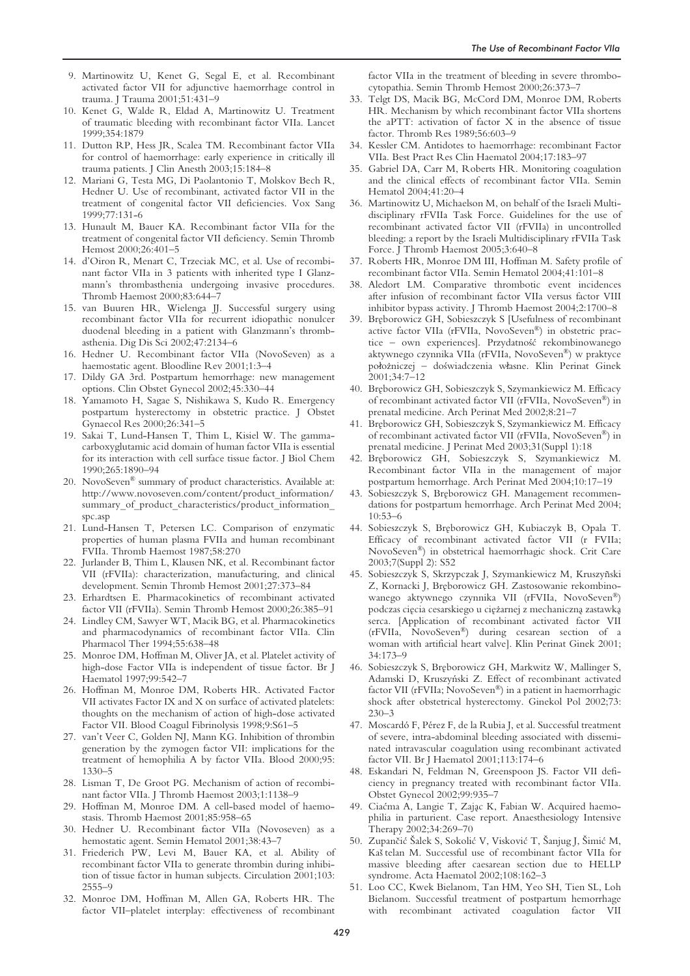- 9. Martinowitz U, Kenet G, Segal E, et al. Recombinant activated factor VII for adjunctive haemorrhage control in trauma. J Trauma 2001;51:431–9
- 10. Kenet G, Walde R, Eldad A, Martinowitz U. Treatment of traumatic bleeding with recombinant factor VIIa. Lancet 1999;354:1879
- 11. Dutton RP, Hess JR, Scalea TM. Recombinant factor VIIa for control of haemorrhage: early experience in critically ill trauma patients. J Clin Anesth 2003;15:184–8
- 12. Mariani G, Testa MG, Di Paolantonio T, Molskov Bech R, Hedner U. Use of recombinant, activated factor VII in the treatment of congenital factor VII deficiencies. Vox Sang 1999;77:131-6
- 13. Hunault M, Bauer KA. Recombinant factor VIIa for the treatment of congenital factor VII deficiency. Semin Thromb Hemost 2000;26:401–5
- 14. d'Oiron R, Menart C, Trzeciak MC, et al. Use of recombinant factor VIIa in 3 patients with inherited type I Glanzmann's thrombasthenia undergoing invasive procedures. Thromb Haemost 2000;83:644–7
- 15. van Buuren HR, Wielenga JJ. Successful surgery using recombinant factor VIIa for recurrent idiopathic nonulcer duodenal bleeding in a patient with Glanzmann's thrombasthenia. Dig Dis Sci 2002;47:2134–6
- 16. Hedner U. Recombinant factor VIIa (NovoSeven) as a haemostatic agent. Bloodline Rev 2001;1:3–4
- 17. Dildy GA 3rd. Postpartum hemorrhage: new management options. Clin Obstet Gynecol 2002;45:330–44
- 18. Yamamoto H, Sagae S, Nishikawa S, Kudo R. Emergency postpartum hysterectomy in obstetric practice. J Obstet Gynaecol Res 2000;26:341–5
- 19. Sakai T, Lund-Hansen T, Thim L, Kisiel W. The gammacarboxyglutamic acid domain of human factor VIIa is essential for its interaction with cell surface tissue factor. J Biol Chem 1990;265:1890–94
- 20. NovoSeven® summary of product characteristics. Available at: http://www.novoseven.com/content/product\_information/ summary\_of\_product\_characteristics/product\_information\_ spc.asp
- 21. Lund-Hansen T, Petersen LC. Comparison of enzymatic properties of human plasma FVIIa and human recombinant FVIIa. Thromb Haemost 1987;58:270
- 22. Jurlander B, Thim L, Klausen NK, et al. Recombinant factor VII (rFVIIa): characterization, manufacturing, and clinical development. Semin Thromb Hemost 2001;27:373–84
- 23. Erhardtsen E. Pharmacokinetics of recombinant activated factor VII (rFVIIa). Semin Thromb Hemost 2000;26:385–91
- 24. Lindley CM, Sawyer WT, Macik BG, et al. Pharmacokinetics and pharmacodynamics of recombinant factor VIIa. Clin Pharmacol Ther 1994;55:638–48
- 25. Monroe DM, Hoffman M, Oliver JA, et al. Platelet activity of high-dose Factor VIIa is independent of tissue factor. Br J Haematol 1997;99:542–7
- 26. Hoffman M, Monroe DM, Roberts HR. Activated Factor VII activates Factor IX and X on surface of activated platelets: thoughts on the mechanism of action of high-dose activated Factor VII. Blood Coagul Fibrinolysis 1998;9:S61–5
- 27. van't Veer C, Golden NJ, Mann KG. Inhibition of thrombin generation by the zymogen factor VII: implications for the treatment of hemophilia A by factor VIIa. Blood 2000;95: 1330–5
- 28. Lisman T, De Groot PG. Mechanism of action of recombinant factor VIIa. J Thromb Haemost 2003;1:1138–9
- 29. Hoffman M, Monroe DM. A cell-based model of haemostasis. Thromb Haemost 2001;85:958–65
- 30. Hedner U. Recombinant factor VIIa (Novoseven) as a hemostatic agent. Semin Hematol 2001;38:43–7
- 31. Friederich PW, Levi M, Bauer KA, et al. Ability of recombinant factor VIIa to generate thrombin during inhibition of tissue factor in human subjects. Circulation 2001;103: 2555–9
- 32. Monroe DM, Hoffman M, Allen GA, Roberts HR. The factor VII–platelet interplay: effectiveness of recombinant

factor VIIa in the treatment of bleeding in severe thrombocytopathia. Semin Thromb Hemost 2000;26:373–7

- 33. Telgt DS, Macik BG, McCord DM, Monroe DM, Roberts HR. Mechanism by which recombinant factor VIIa shortens the aPTT: activation of factor X in the absence of tissue factor. Thromb Res 1989;56:603–9
- 34. Kessler CM. Antidotes to haemorrhage: recombinant Factor VIIa. Best Pract Res Clin Haematol 2004;17:183–97
- 35. Gabriel DA, Carr M, Roberts HR. Monitoring coagulation and the clinical effects of recombinant factor VIIa. Semin Hematol 2004;41:20–4
- 36. Martinowitz U, Michaelson M, on behalf of the Israeli Multidisciplinary rFVIIa Task Force. Guidelines for the use of recombinant activated factor VII (rFVIIa) in uncontrolled bleeding: a report by the Israeli Multidisciplinary rFVIIa Task Force. J Thromb Haemost 2005;3:640–8
- 37. Roberts HR, Monroe DM III, Hoffman M. Safety profile of recombinant factor VIIa. Semin Hematol 2004;41:101–8
- 38. Aledort LM. Comparative thrombotic event incidences after infusion of recombinant factor VIIa versus factor VIII inhibitor bypass activity. J Thromb Haemost 2004;2:1700–8
- 39. Bręborowicz GH, Sobieszczyk S [Usefulness of recombinant active factor VIIa (rFVIIa, NovoSeven®) in obstetric practice – own experiences]. Przydatność rekombinowanego aktywnego czynnika VIIa (rFVIIa, NovoSeven®) w praktyce położniczej – doświadczenia własne. Klin Perinat Ginek 2001;34:7–12
- 40. Bręborowicz GH, Sobieszczyk S, Szymankiewicz M. Efficacy of recombinant activated factor VII (rFVIIa, NovoSeven®) in prenatal medicine. Arch Perinat Med 2002;8:21–7
- 41. Bręborowicz GH, Sobieszczyk S, Szymankiewicz M. Efficacy of recombinant activated factor VII (rFVIIa, NovoSeven®) in prenatal medicine. J Perinat Med 2003;31(Suppl 1):18
- 42. Bręborowicz GH, Sobieszczyk S, Szymankiewicz M. Recombinant factor VIIa in the management of major postpartum hemorrhage. Arch Perinat Med 2004;10:17–19
- 43. Sobieszczyk S, Bręborowicz GH. Management recommendations for postpartum hemorrhage. Arch Perinat Med 2004; 10:53–6
- 44. Sobieszczyk S, Bręborowicz GH, Kubiaczyk B, Opala T. Efficacy of recombinant activated factor VII (r FVIIa; NovoSeven®) in obstetrical haemorrhagic shock. Crit Care 2003;7(Suppl 2): S52
- 45. Sobieszczyk S, Skrzypczak J, Szymankiewicz M, Kruszyñski Z, Kornacki J, Bręborowicz GH. Zastosowanie rekombinowanego aktywnego czynnika VII (rFVIIa, NovoSeven®) podczas cięcia cesarskiego u ciężarnej z mechaniczną zastawką serca. [Application of recombinant activated factor VII (rFVIIa, NovoSeven®) during cesarean section of a woman with artificial heart valve]. Klin Perinat Ginek 2001; 34:173–9
- 46. Sobieszczyk S, Breborowicz GH, Markwitz W, Mallinger S, Adamski D, Kruszyński Z. Effect of recombinant activated factor VII (rFVIIa; NovoSeven®) in a patient in haemorrhagic shock after obstetrical hysterectomy. Ginekol Pol 2002;73: 230–3
- 47. Moscardó F, Pérez F, de la Rubia J, et al. Successful treatment of severe, intra-abdominal bleeding associated with disseminated intravascular coagulation using recombinant activated factor VII. Br J Haematol 2001;113:174–6
- 48. Eskandari N, Feldman N, Greenspoon JS. Factor VII deficiency in pregnancy treated with recombinant factor VIIa. Obstet Gynecol 2002;99:935–7
- 49. Ciacma A, Langie T, Zajac K, Fabian W. Acquired haemophilia in parturient. Case report. Anaesthesiology Intensive Therapy 2002;34:269–70
- 50. Zupančić Šalek S, Sokolić V, Visković T, Šanjug J, Šimić M, Kaš telan M. Successful use of recombinant factor VIIa for massive bleeding after caesarean section due to HELLP syndrome. Acta Haematol 2002;108:162–3
- 51. Loo CC, Kwek Bielanom, Tan HM, Yeo SH, Tien SL, Loh Bielanom. Successful treatment of postpartum hemorrhage with recombinant activated coagulation factor VII